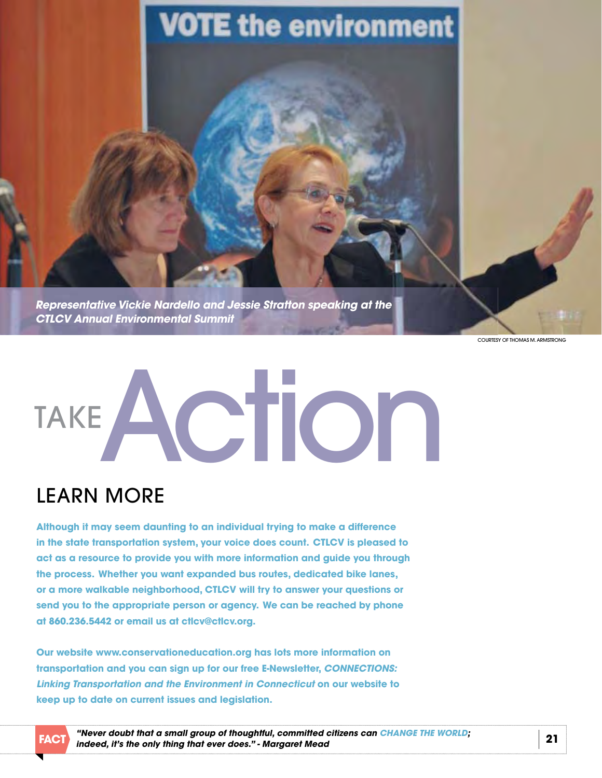

*representative Vickie Nardello and Jessie Stratton speaking at the CTLCV Annual Environmental Summit*

COurTESy OF THOmaS m. armSTrOnG

## TAKEACTION TakE

## LEarn mOrE

**although it may seem daunting to an individual trying to make a difference in the state transportation system, your voice does count. ctlcV is pleased to act as a resource to provide you with more information and guide you through the process. Whether you want expanded bus routes, dedicated bike lanes, or a more walkable neighborhood, ctlcV will try to answer your questions or send you to the appropriate person or agency. We can be reached by phone at 860.236.5442 or email us at ctlcv@ctlcv.org.** 

**our website [www.conservationeducation.org](http://www.conservationeducation.org/) has lots more information on transportation and you can sign up for our free e-newsletter,** *CONNECTIONS: Linking Transportation and the Environment in Connecticut* **on our website to keep up to date on current issues and legislation.**

*"Never doubt that a small group of thoughtful, committed citizens can CHANgE THE wOrLD;*  **i** *indeed, it's the only thing that ever does." - Margaret Mead* **factor of** *factor* **factor factor factor factor factor** *factor factor* **<b>***factor factor factor factor factor factor*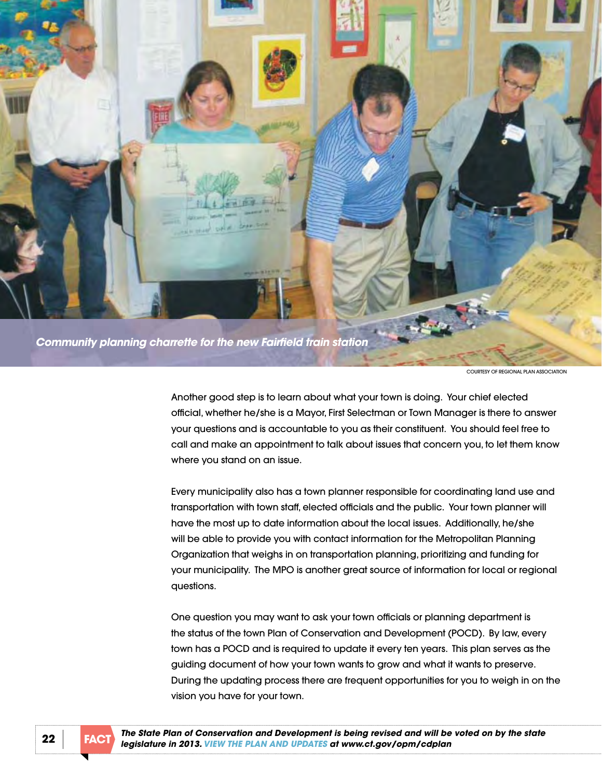

COurTESy OF rEGiOnaL PLan aSSOCiaTiOn

another good step is to learn about what your town is doing.your chief elected official, whether he/she is a mayor, First Selectman or Town manager is there to answer your questions and is accountable to you as their constituent.you should feel free to call and make an appointment to talk about issues that concern you, to let them know where you stand on an issue.

Every municipality also has a town planner responsible for coordinating land use and transportation with town staff, elected officials and the public.your town planner will have the most up to date information about the local issues.additionally, he/she will be able to provide you with contact information for the metropolitan Planning Organization that weighs in on transportation planning, prioritizing and funding for your municipality.The mPO is another great source of information for local or regional questions.

One question you may want to ask your town officials or planning department is the status of the town Plan of Conservation and development (POCd).By law, every town has a POCD and is required to update it every ten years. This plan serves as the guiding document of how your town wants to grow and what it wants to preserve. During the updating process there are frequent opportunities for you to weigh in on the vision you have for your town.

**22** *[The State Plan of Conservation and Development is being revised and will be voted on by the state](www.ct.gov/opm/cdplan)  legislature in 2013. VIEw THE PLAN AND UPDATES at www.ct.gov/opm/cdplan* **fact**